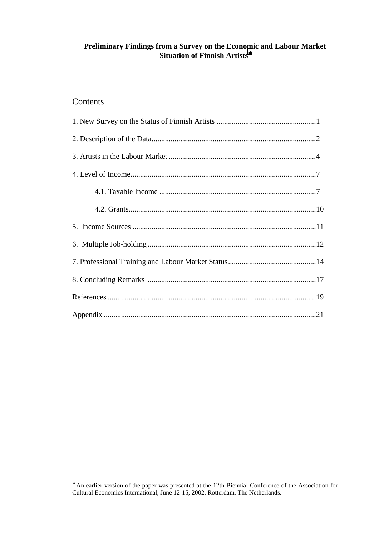# **Preliminary Findings from a Survey on the Economic and Labour Market Situation of Finnish Artists**<sup>∗</sup>

# Contents

<sup>∗</sup> An earlier version of the paper was presented at the 12th Biennial Conference of the Association for Cultural Economics International, June 12-15, 2002, Rotterdam, The Netherlands.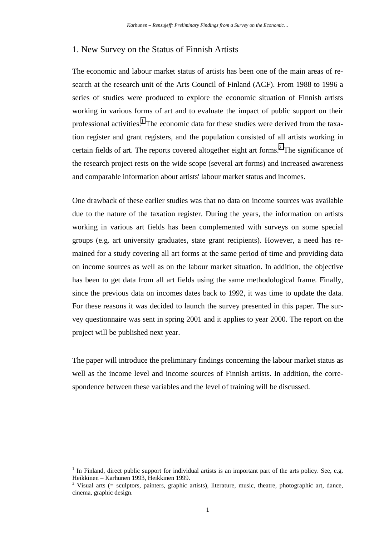# 1. New Survey on the Status of Finnish Artists

The economic and labour market status of artists has been one of the main areas of research at the research unit of the Arts Council of Finland (ACF). From 1988 to 1996 a series of studies were produced to explore the economic situation of Finnish artists working in various forms of art and to evaluate the impact of public support on their professional activities.<sup>1</sup> The economic data for these studies were derived from the taxation register and grant registers, and the population consisted of all artists working in certain fields of art. The reports covered altogether eight art forms. $2$  The significance of the research project rests on the wide scope (several art forms) and increased awareness and comparable information about artists' labour market status and incomes.

One drawback of these earlier studies was that no data on income sources was available due to the nature of the taxation register. During the years, the information on artists working in various art fields has been complemented with surveys on some special groups (e.g. art university graduates, state grant recipients). However, a need has remained for a study covering all art forms at the same period of time and providing data on income sources as well as on the labour market situation. In addition, the objective has been to get data from all art fields using the same methodological frame. Finally, since the previous data on incomes dates back to 1992, it was time to update the data. For these reasons it was decided to launch the survey presented in this paper. The survey questionnaire was sent in spring 2001 and it applies to year 2000. The report on the project will be published next year.

The paper will introduce the preliminary findings concerning the labour market status as well as the income level and income sources of Finnish artists. In addition, the correspondence between these variables and the level of training will be discussed.

<sup>1</sup> In Finland, direct public support for individual artists is an important part of the arts policy. See, e.g. Heikkinen – Karhunen 1993, Heikkinen 1999.

<sup>&</sup>lt;sup>2</sup> Visual arts (= sculptors, painters, graphic artists), literature, music, theatre, photographic art, dance, cinema, graphic design.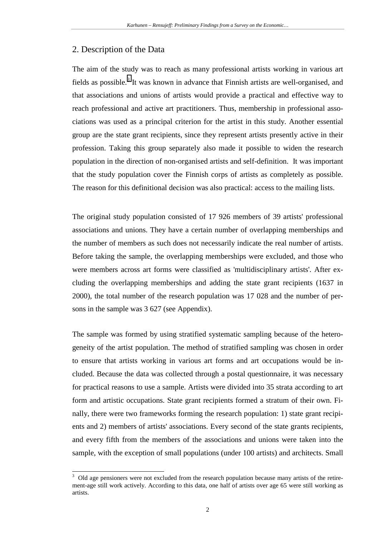# 2. Description of the Data

l

The aim of the study was to reach as many professional artists working in various art fields as possible.<sup>3</sup> It was known in advance that Finnish artists are well-organised, and that associations and unions of artists would provide a practical and effective way to reach professional and active art practitioners. Thus, membership in professional associations was used as a principal criterion for the artist in this study. Another essential group are the state grant recipients, since they represent artists presently active in their profession. Taking this group separately also made it possible to widen the research population in the direction of non-organised artists and self-definition. It was important that the study population cover the Finnish corps of artists as completely as possible. The reason for this definitional decision was also practical: access to the mailing lists.

The original study population consisted of 17 926 members of 39 artists' professional associations and unions. They have a certain number of overlapping memberships and the number of members as such does not necessarily indicate the real number of artists. Before taking the sample, the overlapping memberships were excluded, and those who were members across art forms were classified as 'multidisciplinary artists'. After excluding the overlapping memberships and adding the state grant recipients (1637 in 2000), the total number of the research population was 17 028 and the number of persons in the sample was 3 627 (see Appendix).

The sample was formed by using stratified systematic sampling because of the heterogeneity of the artist population. The method of stratified sampling was chosen in order to ensure that artists working in various art forms and art occupations would be included. Because the data was collected through a postal questionnaire, it was necessary for practical reasons to use a sample. Artists were divided into 35 strata according to art form and artistic occupations. State grant recipients formed a stratum of their own. Finally, there were two frameworks forming the research population: 1) state grant recipients and 2) members of artists' associations. Every second of the state grants recipients, and every fifth from the members of the associations and unions were taken into the sample, with the exception of small populations (under 100 artists) and architects. Small

<sup>3</sup> Old age pensioners were not excluded from the research population because many artists of the retirement-age still work actively. According to this data, one half of artists over age 65 were still working as artists.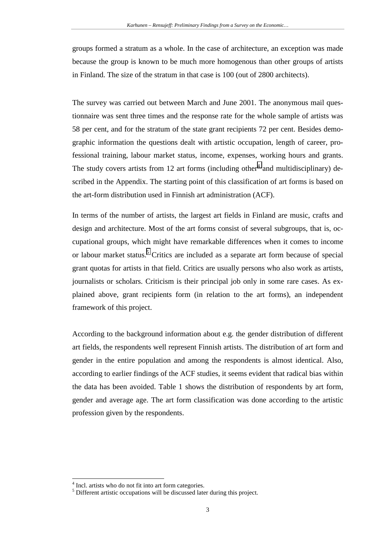groups formed a stratum as a whole. In the case of architecture, an exception was made because the group is known to be much more homogenous than other groups of artists in Finland. The size of the stratum in that case is 100 (out of 2800 architects).

The survey was carried out between March and June 2001. The anonymous mail questionnaire was sent three times and the response rate for the whole sample of artists was 58 per cent, and for the stratum of the state grant recipients 72 per cent. Besides demographic information the questions dealt with artistic occupation, length of career, professional training, labour market status, income, expenses, working hours and grants. The study covers artists from 12 art forms (including other<sup>4</sup> and multidisciplinary) described in the Appendix. The starting point of this classification of art forms is based on the art-form distribution used in Finnish art administration (ACF).

In terms of the number of artists, the largest art fields in Finland are music, crafts and design and architecture. Most of the art forms consist of several subgroups, that is, occupational groups, which might have remarkable differences when it comes to income or labour market status.<sup>5</sup> Critics are included as a separate art form because of special grant quotas for artists in that field. Critics are usually persons who also work as artists, journalists or scholars. Criticism is their principal job only in some rare cases. As explained above, grant recipients form (in relation to the art forms), an independent framework of this project.

According to the background information about e.g. the gender distribution of different art fields, the respondents well represent Finnish artists. The distribution of art form and gender in the entire population and among the respondents is almost identical. Also, according to earlier findings of the ACF studies, it seems evident that radical bias within the data has been avoided. Table 1 shows the distribution of respondents by art form, gender and average age. The art form classification was done according to the artistic profession given by the respondents.

<sup>&</sup>lt;sup>4</sup> Incl. artists who do not fit into art form categories.

<sup>&</sup>lt;sup>5</sup> Different artistic occupations will be discussed later during this project.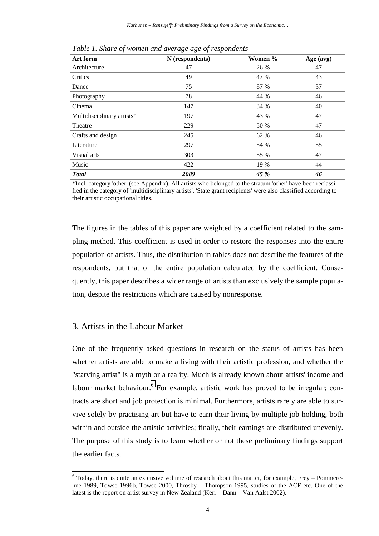| Art form                   | N (respondents) | Women % | Age (avg) |
|----------------------------|-----------------|---------|-----------|
| Architecture               | 47              | 26 %    | 47        |
| Critics                    | 49              | 47 %    | 43        |
| Dance                      | 75              | 87 %    | 37        |
| Photography                | 78              | 44 %    | 46        |
| Cinema                     | 147             | 34 %    | 40        |
| Multidisciplinary artists* | 197             | 43 %    | 47        |
| Theatre                    | 229             | 50 %    | 47        |
| Crafts and design          | 245             | 62 %    | 46        |
| Literature                 | 297             | 54 %    | 55        |
| Visual arts                | 303             | 55 %    | 47        |
| Music                      | 422             | 19 %    | 44        |
| <b>Total</b>               | 2089            | 45 %    | 46        |

*Table 1. Share of women and average age of respondents* 

\*Incl. category 'other' (see Appendix). All artists who belonged to the stratum 'other' have been reclassified in the category of 'multidisciplinary artists'. 'State grant recipients' were also classified according to their artistic occupational titles.

The figures in the tables of this paper are weighted by a coefficient related to the sampling method. This coefficient is used in order to restore the responses into the entire population of artists. Thus, the distribution in tables does not describe the features of the respondents, but that of the entire population calculated by the coefficient. Consequently, this paper describes a wider range of artists than exclusively the sample population, despite the restrictions which are caused by nonresponse.

## 3. Artists in the Labour Market

l

One of the frequently asked questions in research on the status of artists has been whether artists are able to make a living with their artistic profession, and whether the "starving artist" is a myth or a reality. Much is already known about artists' income and labour market behaviour. <sup>6</sup> For example, artistic work has proved to be irregular; contracts are short and job protection is minimal. Furthermore, artists rarely are able to survive solely by practising art but have to earn their living by multiple job-holding, both within and outside the artistic activities; finally, their earnings are distributed unevenly. The purpose of this study is to learn whether or not these preliminary findings support the earlier facts.

 $6$  Today, there is quite an extensive volume of research about this matter, for example, Frey – Pommerehne 1989, Towse 1996b, Towse 2000, Throsby – Thompson 1995, studies of the ACF etc. One of the latest is the report on artist survey in New Zealand (Kerr – Dann – Van Aalst 2002).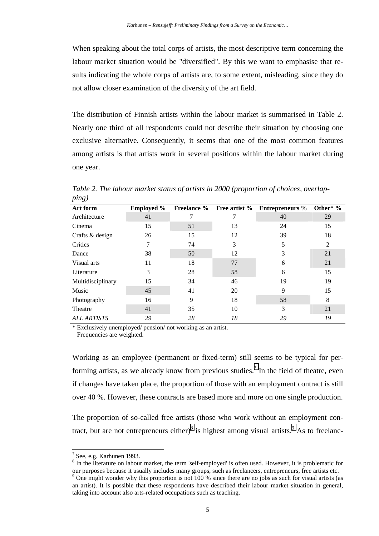When speaking about the total corps of artists, the most descriptive term concerning the labour market situation would be "diversified". By this we want to emphasise that results indicating the whole corps of artists are, to some extent, misleading, since they do not allow closer examination of the diversity of the art field.

The distribution of Finnish artists within the labour market is summarised in Table 2. Nearly one third of all respondents could not describe their situation by choosing one exclusive alternative. Consequently, it seems that one of the most common features among artists is that artists work in several positions within the labour market during one year.

| Art form           | <b>Employed %</b> | <b>Freelance %</b> | Free artist % | <b>Entrepreneurs</b> % | Other* $\%$ |
|--------------------|-------------------|--------------------|---------------|------------------------|-------------|
| Architecture       | 41                |                    | 7             | 40                     | 29          |
| Cinema             | 15                | 51                 | 13            | 24                     | 15          |
| Crafts & design    | 26                | 15                 | 12            | 39                     | 18          |
| Critics            |                   | 74                 | 3             | 5                      | 2           |
| Dance              | 38                | 50                 | 12            | 3                      | 21          |
| Visual arts        | 11                | 18                 | 77            | 6                      | 21          |
| Literature         | 3                 | 28                 | 58            | 6                      | 15          |
| Multidisciplinary  | 15                | 34                 | 46            | 19                     | 19          |
| Music              | 45                | 41                 | 20            | 9                      | 15          |
| Photography        | 16                | 9                  | 18            | 58                     | 8           |
| Theatre            | 41                | 35                 | 10            | $\mathcal{F}$          | 21          |
| <b>ALL ARTISTS</b> | 29                | 28                 | 18            | 29                     | 19          |

*Table 2. The labour market status of artists in 2000 (proportion of choices, overlapping)* 

\* Exclusively unemployed/ pension/ not working as an artist. Frequencies are weighted.

Working as an employee (permanent or fixed-term) still seems to be typical for performing artists, as we already know from previous studies.<sup>7</sup> In the field of theatre, even if changes have taken place, the proportion of those with an employment contract is still over 40 %. However, these contracts are based more and more on one single production.

The proportion of so-called free artists (those who work without an employment contract, but are not entrepreneurs either) $<sup>8</sup>$  is highest among visual artists.<sup>9</sup> As to freelanc-</sup>

l

<sup>8</sup> In the literature on labour market, the term 'self-employed' is often used. However, it is problematic for our purposes because it usually includes many groups, such as freelancers, entrepreneurs, free artists etc.

 $7$  See, e.g. Karhunen 1993.

<sup>&</sup>lt;sup>9</sup> One might wonder why this proportion is not 100 % since there are no jobs as such for visual artists (as an artist). It is possible that these respondents have described their labour market situation in general, taking into account also arts-related occupations such as teaching.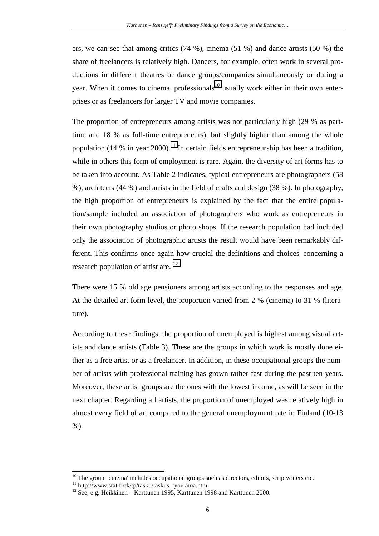ers, we can see that among critics (74 %), cinema (51 %) and dance artists (50 %) the share of freelancers is relatively high. Dancers, for example, often work in several productions in different theatres or dance groups/companies simultaneously or during a year. When it comes to cinema, professionals<sup>10</sup> usually work either in their own enterprises or as freelancers for larger TV and movie companies.

The proportion of entrepreneurs among artists was not particularly high (29 % as parttime and 18 % as full-time entrepreneurs), but slightly higher than among the whole population (14 % in year 2000).<sup>11</sup> In certain fields entrepreneurship has been a tradition, while in others this form of employment is rare. Again, the diversity of art forms has to be taken into account. As Table 2 indicates, typical entrepreneurs are photographers (58 %), architects (44 %) and artists in the field of crafts and design (38 %). In photography, the high proportion of entrepreneurs is explained by the fact that the entire population/sample included an association of photographers who work as entrepreneurs in their own photography studios or photo shops. If the research population had included only the association of photographic artists the result would have been remarkably different. This confirms once again how crucial the definitions and choices' concerning a research population of artist are.  $^{12}$ 

There were 15 % old age pensioners among artists according to the responses and age. At the detailed art form level, the proportion varied from 2 % (cinema) to 31 % (literature).

According to these findings, the proportion of unemployed is highest among visual artists and dance artists (Table 3). These are the groups in which work is mostly done either as a free artist or as a freelancer. In addition, in these occupational groups the number of artists with professional training has grown rather fast during the past ten years. Moreover, these artist groups are the ones with the lowest income, as will be seen in the next chapter. Regarding all artists, the proportion of unemployed was relatively high in almost every field of art compared to the general unemployment rate in Finland (10-13  $%$ ).

 $10$  The group 'cinema' includes occupational groups such as directors, editors, scriptwriters etc.

<sup>&</sup>lt;sup>11</sup> http://www.stat.fi/tk/tp/tasku/taskus\_tyoelama.html

<sup>12</sup> See, e.g. Heikkinen – Karttunen 1995, Karttunen 1998 and Karttunen 2000.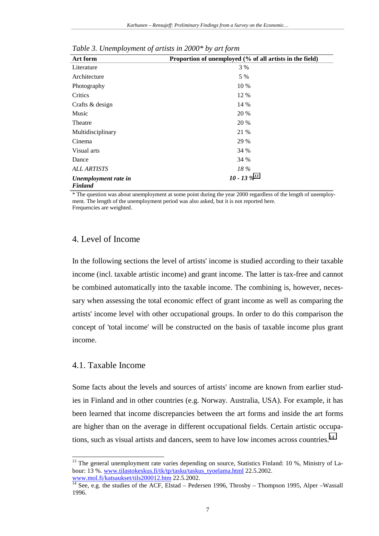| Art form                               | Proportion of unemployed (% of all artists in the field) |
|----------------------------------------|----------------------------------------------------------|
| Literature                             | 3 %                                                      |
| Architecture                           | 5 %                                                      |
| Photography                            | 10 %                                                     |
| Critics                                | 12 %                                                     |
| Crafts & design                        | 14 %                                                     |
| Music                                  | 20 %                                                     |
| Theatre                                | 20 %                                                     |
| Multidisciplinary                      | 21 %                                                     |
| Cinema                                 | 29 %                                                     |
| Visual arts                            | 34 %                                                     |
| Dance                                  | 34 %                                                     |
| <b>ALL ARTISTS</b>                     | 18%                                                      |
| Unemployment rate in<br><b>Finland</b> | $10 - 13 \%^{13}$                                        |

*Table 3. Unemployment of artists in 2000\* by art form* 

\* The question was about unemployment at some point during the year 2000 regardless of the length of unemployment. The length of the unemployment period was also asked, but it is not reported here. Frequencies are weighted.

## 4. Level of Income

In the following sections the level of artists' income is studied according to their taxable income (incl. taxable artistic income) and grant income. The latter is tax-free and cannot be combined automatically into the taxable income. The combining is, however, necessary when assessing the total economic effect of grant income as well as comparing the artists' income level with other occupational groups. In order to do this comparison the concept of 'total income' will be constructed on the basis of taxable income plus grant income.

#### 4.1. Taxable Income

l

Some facts about the levels and sources of artists' income are known from earlier studies in Finland and in other countries (e.g. Norway. Australia, USA). For example, it has been learned that income discrepancies between the art forms and inside the art forms are higher than on the average in different occupational fields. Certain artistic occupations, such as visual artists and dancers, seem to have low incomes across countries.<sup>14</sup>

 $13$  The general unemployment rate varies depending on source, Statistics Finland: 10 %, Ministry of Labour: 13 %. www.tilastokeskus.fi/tk/tp/tasku/taskus\_tyoelama.html 22.5.2002.

www.mol.fi/katsaukset/tils200012.htm 22.5.2002.<br><sup>14</sup> See, e.g. the studies of the ACF, Elstad – Pedersen 1996, Throsby – Thompson 1995, Alper –Wassall 1996.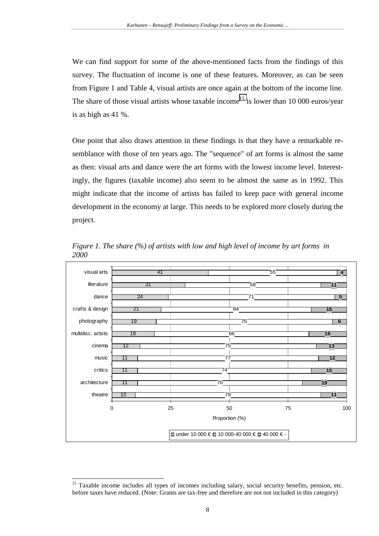We can find support for some of the above-mentioned facts from the findings of this survey. The fluctuation of income is one of these features. Moreover, as can be seen from Figure 1 and Table 4, visual artists are once again at the bottom of the income line. The share of those visual artists whose taxable income<sup>15</sup> is lower than 10 000 euros/year is as high as 41 %.

One point that also draws attention in these findings is that they have a remarkable resemblance with those of ten years ago. The "sequence" of art forms is almost the same as then: visual arts and dance were the art forms with the lowest income level. Interestingly, the figures (taxable income) also seem to be almost the same as in 1992. This might indicate that the income of artists has failed to keep pace with general income development in the economy at large. This needs to be explored more closely during the project.



*Figure 1. The share (%) of artists with low and high level of income by art forms in 2000* 

<sup>&</sup>lt;sup>15</sup> Taxable income includes all types of incomes including salary, social security benefits, pension, etc. before taxes have reduced. (Note: Grants are tax-free and therefore are not not included in this category)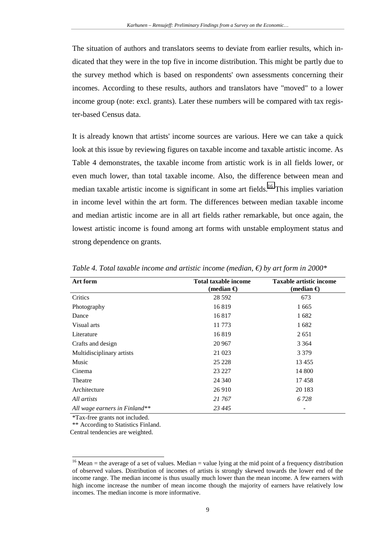The situation of authors and translators seems to deviate from earlier results, which indicated that they were in the top five in income distribution. This might be partly due to the survey method which is based on respondents' own assessments concerning their incomes. According to these results, authors and translators have "moved" to a lower income group (note: excl. grants). Later these numbers will be compared with tax register-based Census data.

It is already known that artists' income sources are various. Here we can take a quick look at this issue by reviewing figures on taxable income and taxable artistic income. As Table 4 demonstrates, the taxable income from artistic work is in all fields lower, or even much lower, than total taxable income. Also, the difference between mean and median taxable artistic income is significant in some art fields.<sup>16</sup> This implies variation in income level within the art form. The differences between median taxable income and median artistic income are in all art fields rather remarkable, but once again, the lowest artistic income is found among art forms with unstable employment status and strong dependence on grants.

| Art form                      | <b>Total taxable income</b><br>(median $\bigoplus$ | <b>Taxable artistic income</b><br>(median $\bigoplus$ |
|-------------------------------|----------------------------------------------------|-------------------------------------------------------|
| Critics                       | 28 5 9 2                                           | 673                                                   |
| Photography                   | 16819                                              | 1665                                                  |
| Dance                         | 16817                                              | 1682                                                  |
| Visual arts                   | 11 773                                             | 1682                                                  |
| Literature                    | 16819                                              | 2651                                                  |
| Crafts and design             | 20 967                                             | 3 3 6 4                                               |
| Multidisciplinary artists     | 21 023                                             | 3 3 7 9                                               |
| Music                         | 25 228                                             | 13 4 55                                               |
| Cinema                        | 23 227                                             | 14 800                                                |
| Theatre                       | 24 340                                             | 17458                                                 |
| Architecture                  | 26 910                                             | 20 183                                                |
| All artists                   | 21 767                                             | 6 7 2 8                                               |
| All wage earners in Finland** | 23 445                                             |                                                       |

*Table 4. Total taxable income and artistic income (median, €) by art form in 2000\**

\*Tax-free grants not included.

l

\*\* According to Statistics Finland.

Central tendencies are weighted.

<sup>&</sup>lt;sup>16</sup> Mean = the average of a set of values. Median = value lying at the mid point of a frequency distribution of observed values. Distribution of incomes of artists is strongly skewed towards the lower end of the income range. The median income is thus usually much lower than the mean income. A few earners with high income increase the number of mean income though the majority of earners have relatively low incomes. The median income is more informative.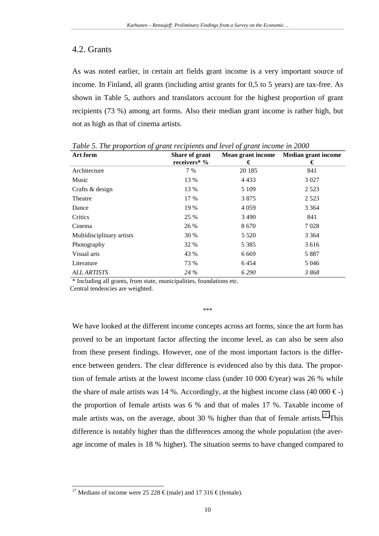## 4.2. Grants

As was noted earlier, in certain art fields grant income is a very important source of income. In Finland, all grants (including artist grants for 0,5 to 5 years) are tax-free. As shown in Table 5, authors and translators account for the highest proportion of grant recipients (73 %) among art forms. Also their median grant income is rather high, but not as high as that of cinema artists.

| Art form                  | Share of grant | <b>Mean grant income</b> | <b>Median grant income</b> |
|---------------------------|----------------|--------------------------|----------------------------|
|                           | receivers* %   | €                        | €                          |
| Architecture              | 7 %            | 20 185                   | 841                        |
| Music                     | 13 %           | 4 4 3 3                  | 3 0 2 7                    |
| Crafts & design           | 13 %           | 5 1 0 9                  | 2 5 2 3                    |
| Theatre                   | 17 %           | 3875                     | 2 5 2 3                    |
| Dance                     | 19 %           | 4 0 5 9                  | 3 3 6 4                    |
| Critics                   | 25 %           | 3490                     | 841                        |
| Cinema                    | 26 %           | 8670                     | 7028                       |
| Multidisciplinary artists | 30 %           | 5 5 2 0                  | 3 3 6 4                    |
| Photography               | 32 %           | 5 3 8 5                  | 3 6 1 6                    |
| Visual arts               | 43 %           | 6 6 6 9                  | 5887                       |
| Literature                | 73 %           | 6454                     | 5 0 4 6                    |
| <b>ALL ARTISTS</b>        | 24 %           | 6 2 9 0                  | 3868                       |

*Table 5. The proportion of grant recipients and level of grant income in 2000* 

\* Including all grants, from state, municipalities, foundations etc.

Central tendencies are weighted.

l

#### \*\*\*

We have looked at the different income concepts across art forms, since the art form has proved to be an important factor affecting the income level, as can also be seen also from these present findings. However, one of the most important factors is the difference between genders. The clear difference is evidenced also by this data. The proportion of female artists at the lowest income class (under 10 000  $\epsilon$ year) was 26 % while the share of male artists was 14 %. Accordingly, at the highest income class (40 000  $\epsilon$ ) the proportion of female artists was 6 % and that of males 17 %. Taxable income of male artists was, on the average, about 30 % higher than that of female artists.<sup>17</sup> This difference is notably higher than the differences among the whole population (the average income of males is 18 % higher). The situation seems to have changed compared to

<sup>&</sup>lt;sup>17</sup> Medians of income were 25 228  $\epsilon$ (male) and 17 316  $\epsilon$ (female).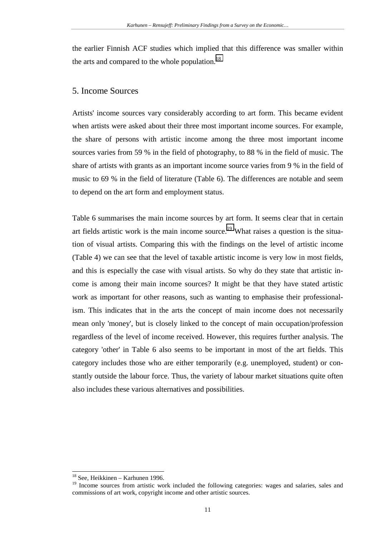the earlier Finnish ACF studies which implied that this difference was smaller within the arts and compared to the whole population.<sup>18</sup>

### 5. Income Sources

Artists' income sources vary considerably according to art form. This became evident when artists were asked about their three most important income sources. For example, the share of persons with artistic income among the three most important income sources varies from 59 % in the field of photography, to 88 % in the field of music. The share of artists with grants as an important income source varies from 9 % in the field of music to 69 % in the field of literature (Table 6). The differences are notable and seem to depend on the art form and employment status.

Table 6 summarises the main income sources by art form. It seems clear that in certain art fields artistic work is the main income source.<sup>19</sup> What raises a question is the situation of visual artists. Comparing this with the findings on the level of artistic income (Table 4) we can see that the level of taxable artistic income is very low in most fields, and this is especially the case with visual artists. So why do they state that artistic income is among their main income sources? It might be that they have stated artistic work as important for other reasons, such as wanting to emphasise their professionalism. This indicates that in the arts the concept of main income does not necessarily mean only 'money', but is closely linked to the concept of main occupation/profession regardless of the level of income received. However, this requires further analysis. The category 'other' in Table 6 also seems to be important in most of the art fields. This category includes those who are either temporarily (e.g. unemployed, student) or constantly outside the labour force. Thus, the variety of labour market situations quite often also includes these various alternatives and possibilities.

<sup>18</sup> See, Heikkinen – Karhunen 1996.

<sup>&</sup>lt;sup>19</sup> Income sources from artistic work included the following categories: wages and salaries, sales and commissions of art work, copyright income and other artistic sources.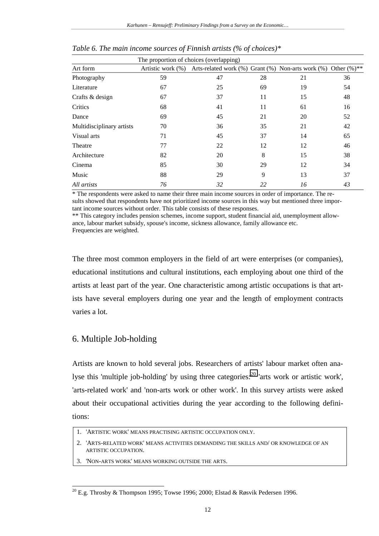| The proportion of choices (overlapping) |    |                                                                                 |    |    |    |
|-----------------------------------------|----|---------------------------------------------------------------------------------|----|----|----|
| Art form                                |    | Artistic work (%) Arts-related work (%) Grant (%) Non-arts work (%) Other (%)** |    |    |    |
| Photography                             | 59 | 47                                                                              | 28 | 21 | 36 |
| Literature                              | 67 | 25                                                                              | 69 | 19 | 54 |
| Crafts & design                         | 67 | 37                                                                              | 11 | 15 | 48 |
| Critics                                 | 68 | 41                                                                              | 11 | 61 | 16 |
| Dance                                   | 69 | 45                                                                              | 21 | 20 | 52 |
| Multidisciplinary artists               | 70 | 36                                                                              | 35 | 21 | 42 |
| Visual arts                             | 71 | 45                                                                              | 37 | 14 | 65 |
| Theatre                                 | 77 | 22                                                                              | 12 | 12 | 46 |
| Architecture                            | 82 | 20                                                                              | 8  | 15 | 38 |
| Cinema                                  | 85 | 30                                                                              | 29 | 12 | 34 |
| Music                                   | 88 | 29                                                                              | 9  | 13 | 37 |
| All artists                             | 76 | 32                                                                              | 22 | 16 | 43 |

*Table 6. The main income sources of Finnish artists (% of choices)\** 

\* The respondents were asked to name their three main income sources in order of importance. The results showed that respondents have not prioritized income sources in this way but mentioned three important income sources without order. This table consists of these responses.

\*\* This category includes pension schemes, income support, student financial aid, unemployment allowance, labour market subsidy, spouse's income, sickness allowance, family allowance etc. Frequencies are weighted.

The three most common employers in the field of art were enterprises (or companies), educational institutions and cultural institutions, each employing about one third of the artists at least part of the year. One characteristic among artistic occupations is that artists have several employers during one year and the length of employment contracts varies a lot.

# 6. Multiple Job-holding

l

Artists are known to hold several jobs. Researchers of artists' labour market often analyse this 'multiple job-holding' by using three categories:<sup>20</sup> 'arts work or artistic work', 'arts-related work' and 'non-arts work or other work'. In this survey artists were asked about their occupational activities during the year according to the following definitions:

1. 'ARTISTIC WORK' MEANS PRACTISING ARTISTIC OCCUPATION ONLY.

2. 'ARTS-RELATED WORK' MEANS ACTIVITIES DEMANDING THE SKILLS AND/ OR KNOWLEDGE OF AN ARTISTIC OCCUPATION.

3. 'NON-ARTS WORK' MEANS WORKING OUTSIDE THE ARTS.

<sup>&</sup>lt;sup>20</sup> E.g. Throsby & Thompson 1995; Towse 1996; 2000; Elstad & Røsvik Pedersen 1996.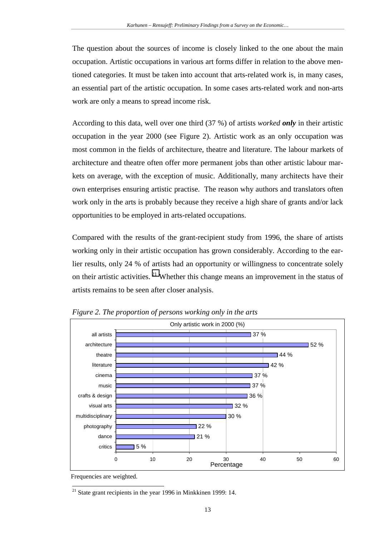The question about the sources of income is closely linked to the one about the main occupation. Artistic occupations in various art forms differ in relation to the above mentioned categories. It must be taken into account that arts-related work is, in many cases, an essential part of the artistic occupation. In some cases arts-related work and non-arts work are only a means to spread income risk.

According to this data, well over one third (37 %) of artists *worked only* in their artistic occupation in the year 2000 (see Figure 2). Artistic work as an only occupation was most common in the fields of architecture, theatre and literature. The labour markets of architecture and theatre often offer more permanent jobs than other artistic labour markets on average, with the exception of music. Additionally, many architects have their own enterprises ensuring artistic practise. The reason why authors and translators often work only in the arts is probably because they receive a high share of grants and/or lack opportunities to be employed in arts-related occupations.

Compared with the results of the grant-recipient study from 1996, the share of artists working only in their artistic occupation has grown considerably. According to the earlier results, only 24 % of artists had an opportunity or willingness to concentrate solely on their artistic activities.  $2<sup>1</sup>$  Whether this change means an improvement in the status of artists remains to be seen after closer analysis.



*Figure 2. The proportion of persons working only in the arts* 

Frequencies are weighted.

<sup>&</sup>lt;sup>21</sup> State grant recipients in the year 1996 in Minkkinen 1999: 14.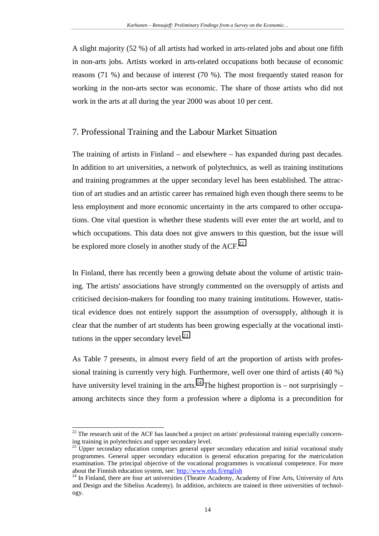A slight majority (52 %) of all artists had worked in arts-related jobs and about one fifth in non-arts jobs. Artists worked in arts-related occupations both because of economic reasons (71 %) and because of interest (70 %). The most frequently stated reason for working in the non-arts sector was economic. The share of those artists who did not work in the arts at all during the year 2000 was about 10 per cent.

#### 7. Professional Training and the Labour Market Situation

The training of artists in Finland – and elsewhere – has expanded during past decades. In addition to art universities, a network of polytechnics, as well as training institutions and training programmes at the upper secondary level has been established. The attraction of art studies and an artistic career has remained high even though there seems to be less employment and more economic uncertainty in the arts compared to other occupations. One vital question is whether these students will ever enter the art world, and to which occupations. This data does not give answers to this question, but the issue will be explored more closely in another study of the  $ACF<sup>22</sup>$ .

In Finland, there has recently been a growing debate about the volume of artistic training. The artists' associations have strongly commented on the oversupply of artists and criticised decision-makers for founding too many training institutions. However, statistical evidence does not entirely support the assumption of oversupply, although it is clear that the number of art students has been growing especially at the vocational institutions in the upper secondary level. $^{23}$ 

As Table 7 presents, in almost every field of art the proportion of artists with professional training is currently very high. Furthermore, well over one third of artists (40 %) have university level training in the arts.<sup>24</sup> The highest proportion is – not surprisingly – among architects since they form a profession where a diploma is a precondition for

<sup>&</sup>lt;sup>22</sup> The research unit of the ACF has launched a project on artists' professional training especially concerning training in polytechnics and upper secondary level.

 $^{23}$  Upper secondary education comprises general upper secondary education and initial vocational study programmes. General upper secondary education is general education preparing for the matriculation examination. The principal objective of the vocational programmes is vocational competence. For more about the Finnish education system, see: http://www.edu.fi/english<br><sup>24</sup> In Finland, there are four art universities (Theatre Academy, Academy of Fine Arts, University of Arts

and Design and the Sibelius Academy). In addition, architects are trained in three universities of technology.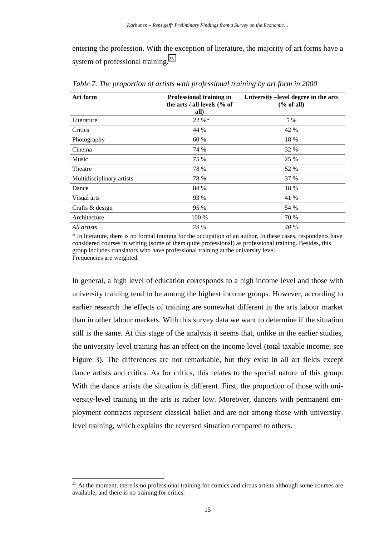entering the profession. With the exception of literature, the majority of art forms have a system of professional training.<sup>25</sup>

| Art form                  | Professional training in<br>the arts / all levels (% of<br>all) | University -level degree in the arts<br>% of all |
|---------------------------|-----------------------------------------------------------------|--------------------------------------------------|
| Literature                | 22 %*                                                           | 5 %                                              |
| Critics                   | 44 %                                                            | 42 %                                             |
| Photography               | 60 %                                                            | 18 %                                             |
| Cinema                    | 74 %                                                            | <b>32 %</b>                                      |
| Music                     | 75 %                                                            | 25 %                                             |
| Theatre                   | 78 %                                                            | 52 %                                             |
| Multidisciplinary artists | 78 %                                                            | 37 %                                             |
| Dance                     | 84 %                                                            | 18 %                                             |
| Visual arts               | 93 %                                                            | 41 %                                             |
| Crafts & design           | 95 %                                                            | 54 %                                             |
| Architecture              | 100 %                                                           | 70 %                                             |
| All artists               | 79 %                                                            | 40 %                                             |

*Table 7. The proportion of artists with professional training by art form in 2000* 

\* In literature, there is no formal training for the occupation of an author. In these cases, respondents have considered courses in writing (some of them quite professional) as professional training. Besides, this group includes translators who have professional training at the university level. Frequencies are weighted.

In general, a high level of education corresponds to a high income level and those with university training tend to be among the highest income groups. However, according to earlier research the effects of training are somewhat different in the arts labour market than in other labour markets. With this survey data we want to determine if the situation still is the same. At this stage of the analysis it seems that, unlike in the earlier studies, the university-level training has an effect on the income level (total taxable income; see Figure 3). The differences are not remarkable, but they exist in all art fields except dance artists and critics. As for critics, this relates to the special nature of this group. With the dance artists the situation is different. First, the proportion of those with university-level training in the arts is rather low. Moreover, dancers with permanent employment contracts represent classical ballet and are not among those with universitylevel training, which explains the reversed situation compared to others.

 $25$  At the moment, there is no professional training for comics and circus artists although some courses are available, and there is no training for critics.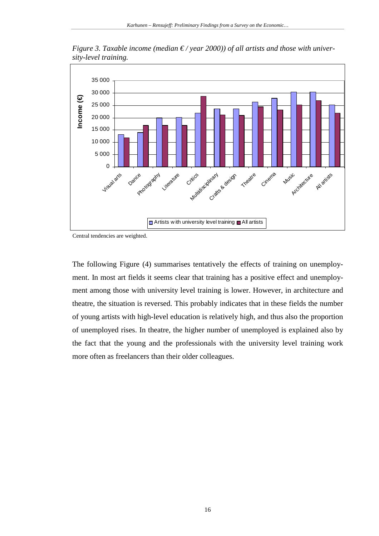

*Figure 3. Taxable income (median € / year 2000)) of all artists and those with university-level training.* 

Central tendencies are weighted.

The following Figure (4) summarises tentatively the effects of training on unemployment. In most art fields it seems clear that training has a positive effect and unemployment among those with university level training is lower. However, in architecture and theatre, the situation is reversed. This probably indicates that in these fields the number of young artists with high-level education is relatively high, and thus also the proportion of unemployed rises. In theatre, the higher number of unemployed is explained also by the fact that the young and the professionals with the university level training work more often as freelancers than their older colleagues.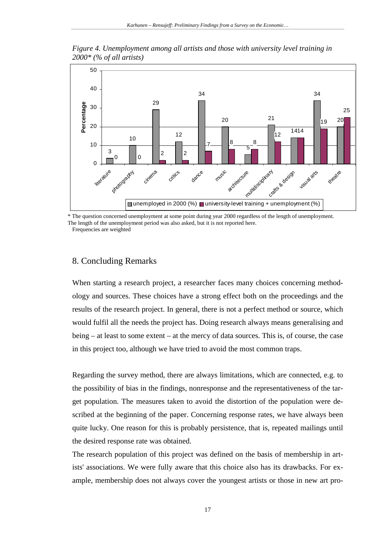

*Figure 4. Unemployment among all artists and those with university level training in 2000\* (% of all artists)* 

\* The question concerned unemployment at some point during year 2000 regardless of the length of unemployment. The length of the unemployment period was also asked, but it is not reported here.

Frequencies are weighted

#### 8. Concluding Remarks

When starting a research project, a researcher faces many choices concerning methodology and sources. These choices have a strong effect both on the proceedings and the results of the research project. In general, there is not a perfect method or source, which would fulfil all the needs the project has. Doing research always means generalising and being – at least to some extent – at the mercy of data sources. This is, of course, the case in this project too, although we have tried to avoid the most common traps.

Regarding the survey method, there are always limitations, which are connected, e.g. to the possibility of bias in the findings, nonresponse and the representativeness of the target population. The measures taken to avoid the distortion of the population were described at the beginning of the paper. Concerning response rates, we have always been quite lucky. One reason for this is probably persistence, that is, repeated mailings until the desired response rate was obtained.

The research population of this project was defined on the basis of membership in artists' associations. We were fully aware that this choice also has its drawbacks. For example, membership does not always cover the youngest artists or those in new art pro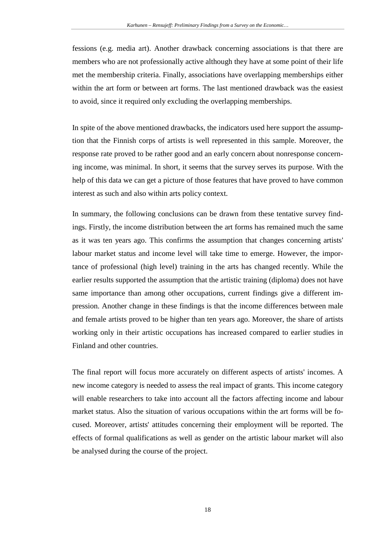fessions (e.g. media art). Another drawback concerning associations is that there are members who are not professionally active although they have at some point of their life met the membership criteria. Finally, associations have overlapping memberships either within the art form or between art forms. The last mentioned drawback was the easiest to avoid, since it required only excluding the overlapping memberships.

In spite of the above mentioned drawbacks, the indicators used here support the assumption that the Finnish corps of artists is well represented in this sample. Moreover, the response rate proved to be rather good and an early concern about nonresponse concerning income, was minimal. In short, it seems that the survey serves its purpose. With the help of this data we can get a picture of those features that have proved to have common interest as such and also within arts policy context.

In summary, the following conclusions can be drawn from these tentative survey findings. Firstly, the income distribution between the art forms has remained much the same as it was ten years ago. This confirms the assumption that changes concerning artists' labour market status and income level will take time to emerge. However, the importance of professional (high level) training in the arts has changed recently. While the earlier results supported the assumption that the artistic training (diploma) does not have same importance than among other occupations, current findings give a different impression. Another change in these findings is that the income differences between male and female artists proved to be higher than ten years ago. Moreover, the share of artists working only in their artistic occupations has increased compared to earlier studies in Finland and other countries.

The final report will focus more accurately on different aspects of artists' incomes. A new income category is needed to assess the real impact of grants. This income category will enable researchers to take into account all the factors affecting income and labour market status. Also the situation of various occupations within the art forms will be focused. Moreover, artists' attitudes concerning their employment will be reported. The effects of formal qualifications as well as gender on the artistic labour market will also be analysed during the course of the project.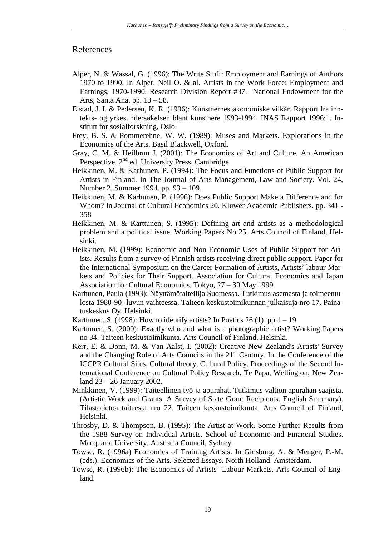#### References

- Alper, N. & Wassal, G. (1996): The Write Stuff: Employment and Earnings of Authors 1970 to 1990. In Alper, Neil O. & al. Artists in the Work Force: Employment and Earnings, 1970-1990. Research Division Report #37. National Endowment for the Arts, Santa Ana. pp. 13 – 58.
- Elstad, J. I. & Pedersen, K. R. (1996): Kunstnernes økonomiske vilkår. Rapport fra inntekts- og yrkesunders*ø*kelsen blant kunstnere 1993-1994. INAS Rapport 1996:1. Institutt for sosialforskning, Oslo.
- Frey, B. S. & Pommerehne, W. W. (1989): Muses and Markets*.* Explorations in the Economics of the Arts. Basil Blackwell, Oxford.
- Gray, C. M. & Heilbrun J. (2001): The Economics of Art and Culture*.* An American Perspective. 2<sup>nd</sup> ed. University Press, Cambridge.
- Heikkinen, M. & Karhunen, P. (1994): The Focus and Functions of Public Support for Artists in Finland. In The Journal of Arts Management, Law and Society. Vol. 24, Number 2. Summer 1994. pp. 93 – 109.
- Heikkinen, M. & Karhunen, P. (1996): Does Public Support Make a Difference and for Whom? In Journal of Cultural Economics 20. Kluwer Academic Publishers. pp. 341 - 358
- Heikkinen, M. & Karttunen, S. (1995): Defining art and artists as a methodological problem and a political issue. Working Papers No 25. Arts Council of Finland, Helsinki.
- Heikkinen, M. (1999): Economic and Non-Economic Uses of Public Support for Artists. Results from a survey of Finnish artists receiving direct public support. Paper for the International Symposium on the Career Formation of Artists, Artists' labour Markets and Policies for Their Support. Association for Cultural Economics and Japan Association for Cultural Economics, Tokyo, 27 – 30 May 1999.
- Karhunen, Paula (1993): Näyttämötaiteilija Suomessa. Tutkimus asemasta ja toimeentulosta 1980-90 -luvun vaihteessa. Taiteen keskustoimikunnan julkaisuja nro 17. Painatuskeskus Oy, Helsinki.
- Karttunen, S. (1998): How to identify artists? In Poetics  $26(1)$ . pp. 1 19.
- Karttunen, S. (2000): Exactly who and what is a photographic artist? Working Papers no 34. Taiteen keskustoimikunta. Arts Council of Finland, Helsinki.
- Kerr, E. & Donn, M. & Van Aalst, I. (2002): Creative New Zealand's Artists' Survey and the Changing Role of Arts Councils in the 21<sup>st</sup> Century. In the Conference of the ICCPR Cultural Sites, Cultural theory, Cultural Policy. Proceedings of the Second International Conference on Cultural Policy Research, Te Papa, Wellington, New Zealand 23 – 26 January 2002.
- Minkkinen, V. (1999): Taiteellinen työ ja apurahat. Tutkimus valtion apurahan saajista. (Artistic Work and Grants. A Survey of State Grant Recipients. English Summary). Tilastotietoa taiteesta nro 22. Taiteen keskustoimikunta. Arts Council of Finland, Helsinki.
- Throsby, D. & Thompson, B. (1995): The Artist at Work. Some Further Results from the 1988 Survey on Individual Artists. School of Economic and Financial Studies. Macquarie University. Australia Council, Sydney.
- Towse, R. (1996a) Economics of Training Artists. In Ginsburg, A. & Menger, P.-M. (eds.). Economics of the Arts. Selected Essays. North Holland. Amsterdam.
- Towse, R. (1996b): The Economics of Artists' Labour Markets. Arts Council of England.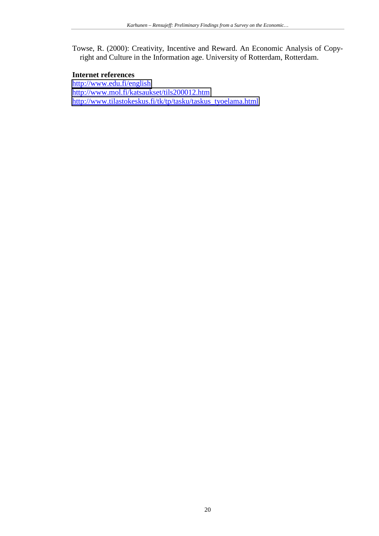Towse, R. (2000): Creativity, Incentive and Reward. An Economic Analysis of Copyright and Culture in the Information age. University of Rotterdam, Rotterdam.

# **Internet references**

<http://www.edu.fi/english> <http://www.mol.fi/katsaukset/tils200012.htm> [http://www.tilastokeskus.fi/tk/tp/tasku/taskus\\_tyoelama.html](http://www.tilastokeskus.fi/tk/tp/tasku/taskus_tyoelama.html)